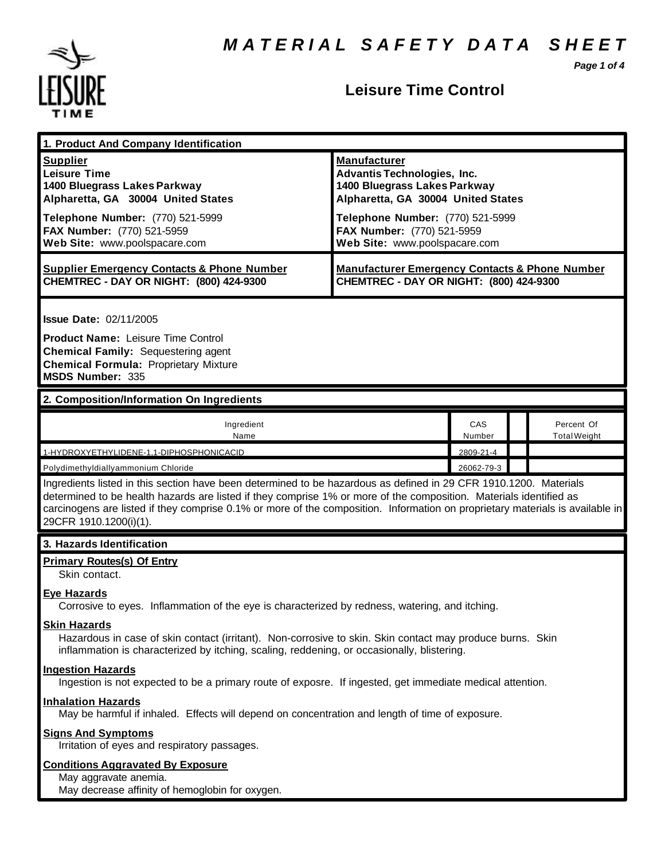*Page 1 of 4*



#### **Leisure Time Control**

| 1. Product And Company Identification                                                                                                                                                                                                                                                                                                                                                              |                                                                                                                                                                                                                                    |               |                                   |  |
|----------------------------------------------------------------------------------------------------------------------------------------------------------------------------------------------------------------------------------------------------------------------------------------------------------------------------------------------------------------------------------------------------|------------------------------------------------------------------------------------------------------------------------------------------------------------------------------------------------------------------------------------|---------------|-----------------------------------|--|
| <b>Supplier</b><br><b>Leisure Time</b><br>1400 Bluegrass Lakes Parkway<br>Alpharetta, GA 30004 United States<br>Telephone Number: (770) 521-5999<br>FAX Number: (770) 521-5959<br>Web Site: www.poolspacare.com                                                                                                                                                                                    | <b>Manufacturer</b><br><b>Advantis Technologies, Inc.</b><br>1400 Bluegrass Lakes Parkway<br>Alpharetta, GA 30004 United States<br>Telephone Number: (770) 521-5999<br>FAX Number: (770) 521-5959<br>Web Site: www.poolspacare.com |               |                                   |  |
| <b>Supplier Emergency Contacts &amp; Phone Number</b><br>CHEMTREC - DAY OR NIGHT: (800) 424-9300                                                                                                                                                                                                                                                                                                   | <b>Manufacturer Emergency Contacts &amp; Phone Number</b><br>CHEMTREC - DAY OR NIGHT: (800) 424-9300                                                                                                                               |               |                                   |  |
| <b>Issue Date: 02/11/2005</b><br><b>Product Name: Leisure Time Control</b><br><b>Chemical Family: Sequestering agent</b><br><b>Chemical Formula: Proprietary Mixture</b><br><b>MSDS Number: 335</b>                                                                                                                                                                                                |                                                                                                                                                                                                                                    |               |                                   |  |
| 2. Composition/Information On Ingredients                                                                                                                                                                                                                                                                                                                                                          |                                                                                                                                                                                                                                    |               |                                   |  |
| Ingredient<br>Name                                                                                                                                                                                                                                                                                                                                                                                 |                                                                                                                                                                                                                                    | CAS<br>Number | Percent Of<br><b>Total Weight</b> |  |
| 1-HYDROXYETHYLIDENE-1,1-DIPHOSPHONICACID                                                                                                                                                                                                                                                                                                                                                           |                                                                                                                                                                                                                                    | 2809-21-4     |                                   |  |
| Ingredients listed in this section have been determined to be hazardous as defined in 29 CFR 1910.1200. Materials<br>determined to be health hazards are listed if they comprise 1% or more of the composition. Materials identified as<br>carcinogens are listed if they comprise 0.1% or more of the composition. Information on proprietary materials is available in<br>29CFR 1910.1200(i)(1). |                                                                                                                                                                                                                                    |               |                                   |  |
| 3. Hazards Identification                                                                                                                                                                                                                                                                                                                                                                          |                                                                                                                                                                                                                                    |               |                                   |  |
| <b>Primary Routes(s) Of Entry</b><br>Skin contact.                                                                                                                                                                                                                                                                                                                                                 |                                                                                                                                                                                                                                    |               |                                   |  |
| <b>Eye Hazards</b><br>Corrosive to eyes. Inflammation of the eye is characterized by redness, watering, and itching.                                                                                                                                                                                                                                                                               |                                                                                                                                                                                                                                    |               |                                   |  |
| <b>Skin Hazards</b><br>Hazardous in case of skin contact (irritant). Non-corrosive to skin. Skin contact may produce burns. Skin<br>inflammation is characterized by itching, scaling, reddening, or occasionally, blistering.                                                                                                                                                                     |                                                                                                                                                                                                                                    |               |                                   |  |
| <b>Ingestion Hazards</b><br>Ingestion is not expected to be a primary route of exposre. If ingested, get immediate medical attention.                                                                                                                                                                                                                                                              |                                                                                                                                                                                                                                    |               |                                   |  |
| <b>Inhalation Hazards</b><br>May be harmful if inhaled. Effects will depend on concentration and length of time of exposure.                                                                                                                                                                                                                                                                       |                                                                                                                                                                                                                                    |               |                                   |  |
| <b>Signs And Symptoms</b><br>Irritation of eyes and respiratory passages.                                                                                                                                                                                                                                                                                                                          |                                                                                                                                                                                                                                    |               |                                   |  |
| <b>Conditions Aggravated By Exposure</b><br>May aggravate anemia.                                                                                                                                                                                                                                                                                                                                  |                                                                                                                                                                                                                                    |               |                                   |  |

May decrease affinity of hemoglobin for oxygen.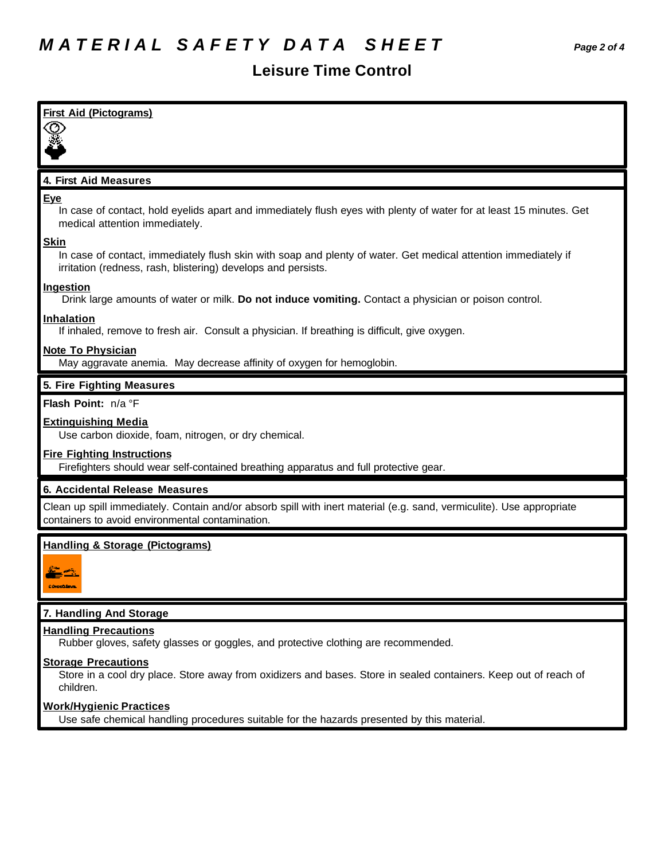### **Leisure Time Control**

| First Aid (Pictograms)                                                                                                                                                                         |
|------------------------------------------------------------------------------------------------------------------------------------------------------------------------------------------------|
|                                                                                                                                                                                                |
| 4. First Aid Measures                                                                                                                                                                          |
| Eye<br>In case of contact, hold eyelids apart and immediately flush eyes with plenty of water for at least 15 minutes. Get<br>medical attention immediately.                                   |
| <b>Skin</b><br>In case of contact, immediately flush skin with soap and plenty of water. Get medical attention immediately if<br>irritation (redness, rash, blistering) develops and persists. |
| Ingestion<br>Drink large amounts of water or milk. Do not induce vomiting. Contact a physician or poison control.                                                                              |
| <b>Inhalation</b><br>If inhaled, remove to fresh air. Consult a physician. If breathing is difficult, give oxygen.                                                                             |
| <b>Note To Physician</b><br>May aggravate anemia. May decrease affinity of oxygen for hemoglobin.                                                                                              |
| 5. Fire Fighting Measures                                                                                                                                                                      |
| Flash Point: n/a °F                                                                                                                                                                            |
| <b>Extinguishing Media</b><br>Use carbon dioxide, foam, nitrogen, or dry chemical.                                                                                                             |
| <b>Fire Fighting Instructions</b><br>Firefighters should wear self-contained breathing apparatus and full protective gear.                                                                     |
| 6. Accidental Release Measures                                                                                                                                                                 |
| Clean up spill immediately. Contain and/or absorb spill with inert material (e.g. sand, vermiculite). Use appropriate<br>containers to avoid environmental contamination.                      |
| <b>Handling &amp; Storage (Pictograms)</b><br><u>L'INDROLLIVE.</u>                                                                                                                             |
| 7. Handling And Storage                                                                                                                                                                        |
| <b>Handling Precautions</b><br>Rubber gloves, safety glasses or goggles, and protective clothing are recommended.                                                                              |
| <b>Storage Precautions</b><br>Store in a cool dry place. Store away from oxidizers and bases. Store in sealed containers. Keep out of reach of<br>children.                                    |
| <b>Work/Hygienic Practices</b><br>Use safe chemical handling procedures suitable for the hazards presented by this material.                                                                   |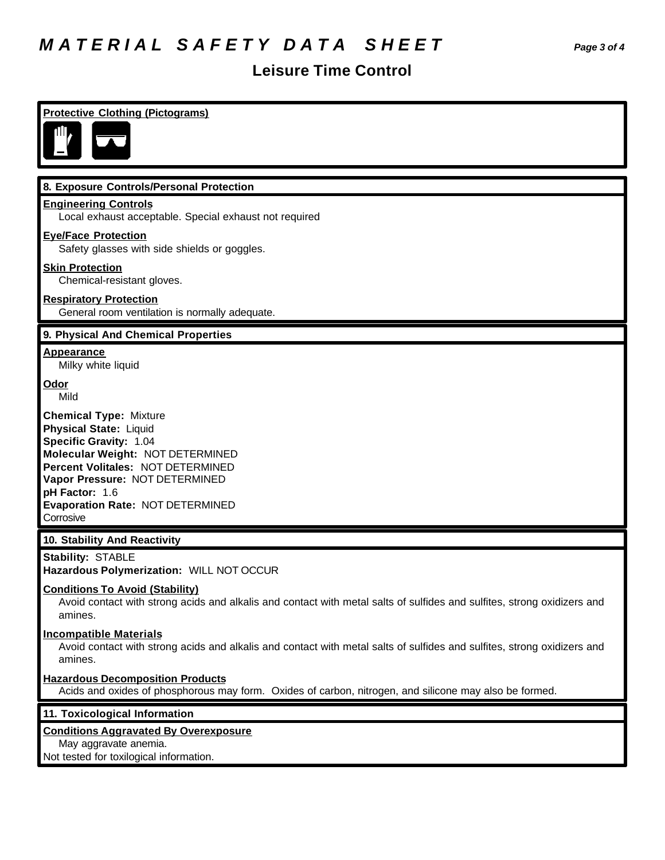## *M A T E R I A L S A F E T Y D A T A S H E E T Page 3 of 4*

### **Leisure Time Control**

| <b>Protective Clothing (Pictograms)</b>                                                                                                                                                                                                                                       |
|-------------------------------------------------------------------------------------------------------------------------------------------------------------------------------------------------------------------------------------------------------------------------------|
| 8. Exposure Controls/Personal Protection                                                                                                                                                                                                                                      |
| <b>Engineering Controls</b><br>Local exhaust acceptable. Special exhaust not required                                                                                                                                                                                         |
| <b>Eye/Face Protection</b><br>Safety glasses with side shields or goggles.                                                                                                                                                                                                    |
| <b>Skin Protection</b><br>Chemical-resistant gloves.                                                                                                                                                                                                                          |
| <b>Respiratory Protection</b><br>General room ventilation is normally adequate.                                                                                                                                                                                               |
| 9. Physical And Chemical Properties                                                                                                                                                                                                                                           |
| <b>Appearance</b><br>Milky white liquid                                                                                                                                                                                                                                       |
| Odor<br>Mild                                                                                                                                                                                                                                                                  |
| <b>Chemical Type: Mixture</b><br><b>Physical State: Liquid</b><br><b>Specific Gravity: 1.04</b><br>Molecular Weight: NOT DETERMINED<br>Percent Volitales: NOT DETERMINED<br>Vapor Pressure: NOT DETERMINED<br>pH Factor: 1.6<br>Evaporation Rate: NOT DETERMINED<br>Corrosive |
| 10. Stability And Reactivity                                                                                                                                                                                                                                                  |
| <b>Stability: STABLE</b><br>Hazardous Polymerization: WILL NOT OCCUR                                                                                                                                                                                                          |
| <b>Conditions To Avoid (Stability)</b><br>Avoid contact with strong acids and alkalis and contact with metal salts of sulfides and sulfites, strong oxidizers and<br>amines.                                                                                                  |
| <b>Incompatible Materials</b><br>Avoid contact with strong acids and alkalis and contact with metal salts of sulfides and sulfites, strong oxidizers and<br>amines.                                                                                                           |
| <b>Hazardous Decomposition Products</b><br>Acids and oxides of phosphorous may form. Oxides of carbon, nitrogen, and silicone may also be formed.                                                                                                                             |
| 11. Toxicological Information                                                                                                                                                                                                                                                 |
| <b>Conditions Aggravated By Overexposure</b><br>May aggravate anemia.<br>Not tested for toxilogical information.                                                                                                                                                              |